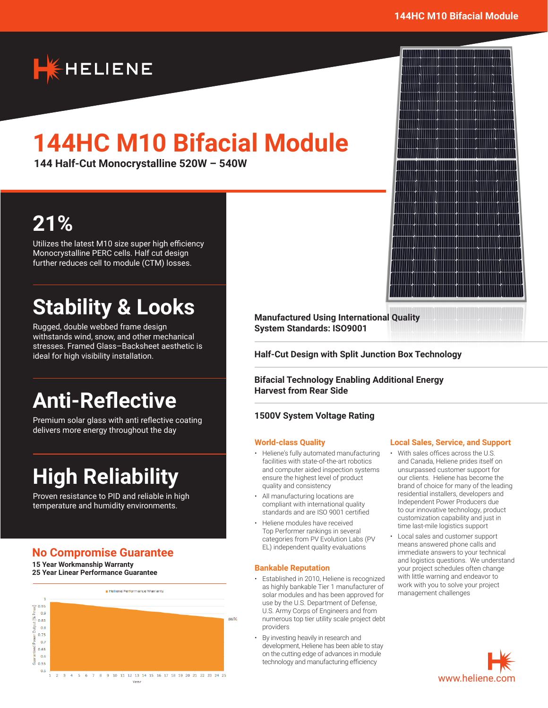

# **144HC M10 Bifacial Module**

**144 Half-Cut Monocrystalline 520W – 540W**

# **21%**

Utilizes the latest M10 size super high efficiency Monocrystalline PERC cells. Half cut design further reduces cell to module (CTM) losses.

# **Stability & Looks**

Rugged, double webbed frame design withstands wind, snow, and other mechanical stresses. Framed Glass–Backsheet aesthetic is ideal for high visibility installation.

# **Anti-Reflective**

Premium solar glass with anti reflective coating delivers more energy throughout the day

# **High Reliability**

Proven resistance to PID and reliable in high temperature and humidity environments.

## **No Compromise Guarantee**

**15 Year Workmanship Warranty 25 Year Linear Performance Guarantee**



**Manufactured Using International Quality System Standards: ISO9001**

**Half-Cut Design with Split Junction Box Technology**

**Bifacial Technology Enabling Additional Energy Harvest from Rear Side**

### **1500V System Voltage Rating**

#### **World-class Quality**

- Heliene's fully automated manufacturing facilities with state-of-the-art robotics and computer aided inspection systems ensure the highest level of product quality and consistency
- All manufacturing locations are compliant with international quality standards and are ISO 9001 certified
- Heliene modules have received Top Performer rankings in several categories from PV Evolution Labs (PV EL) independent quality evaluations

### **Bankable Reputation**

- Established in 2010, Heliene is recognized as highly bankable Tier 1 manufacturer of solar modules and has been approved for use by the U.S. Department of Defense, U.S. Army Corps of Engineers and from numerous top tier utility scale project debt providers
- By investing heavily in research and development, Heliene has been able to stay on the cutting edge of advances in module technology and manufacturing efficiency

#### **Local Sales, Service, and Support**

- With sales offices across the U.S. and Canada, Heliene prides itself on unsurpassed customer support for our clients. Heliene has become the brand of choice for many of the leading residential installers, developers and Independent Power Producers due to our innovative technology, product customization capability and just in time last-mile logistics support
- Local sales and customer support means answered phone calls and immediate answers to your technical and logistics questions. We understand your project schedules often change with little warning and endeavor to work with you to solve your project management challenges